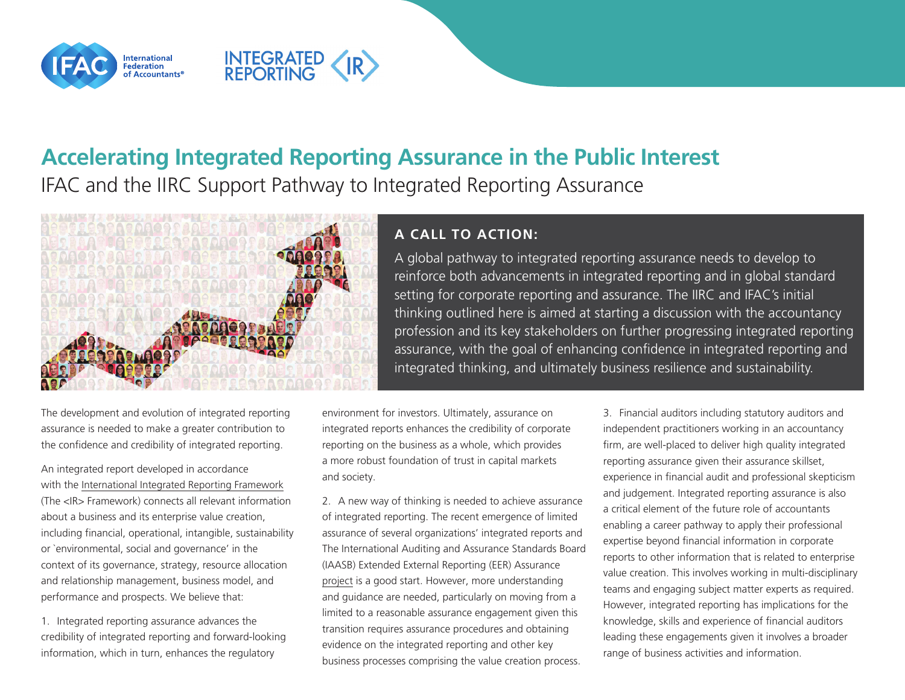

# **Accelerating Integrated Reporting Assurance in the Public Interest**

IFAC and the IIRC Support Pathway to Integrated Reporting Assurance



# **A CALL TO ACTION:**

A global pathway to integrated reporting assurance needs to develop to reinforce both advancements in integrated reporting and in global standard setting for corporate reporting and assurance. The IIRC and IFAC's initial thinking outlined here is aimed at starting a discussion with the accountancy profession and its key stakeholders on further progressing integrated reporting assurance, with the goal of enhancing confidence in integrated reporting and integrated thinking, and ultimately business resilience and sustainability.

The development and evolution of integrated reporting assurance is needed to make a greater contribution to the confidence and credibility of integrated reporting.

An integrated report developed in accordance with the [International Integrated Reporting Framework](https://integratedreporting.org/resource/international-ir-framework/) (The <IR> Framework) connects all relevant information about a business and its enterprise value creation, including financial, operational, intangible, sustainability or `environmental, social and governance' in the context of its governance, strategy, resource allocation and relationship management, business model, and performance and prospects. We believe that:

1. Integrated reporting assurance advances the credibility of integrated reporting and forward-looking information, which in turn, enhances the regulatory

environment for investors. Ultimately, assurance on integrated reports enhances the credibility of corporate reporting on the business as a whole, which provides a more robust foundation of trust in capital markets and society.

2. A new way of thinking is needed to achieve assurance of integrated reporting. The recent emergence of limited assurance of several organizations' integrated reports and The International Auditing and Assurance Standards Board (IAASB) [Extended External Reporting \(EER\) Assurance](http://www.iaasb.org/consultations-projects/extended-external-reporting-eer-assurance)  [project](http://www.iaasb.org/consultations-projects/extended-external-reporting-eer-assurance) is a good start. However, more understanding and guidance are needed, particularly on moving from a limited to a reasonable assurance engagement given this transition requires assurance procedures and obtaining evidence on the integrated reporting and other key business processes comprising the value creation process.

3. Financial auditors including statutory auditors and independent practitioners working in an accountancy firm, are well-placed to deliver high quality integrated reporting assurance given their assurance skillset, experience in financial audit and professional skepticism and judgement. Integrated reporting assurance is also a critical element of the future role of accountants enabling a career pathway to apply their professional expertise beyond financial information in corporate reports to other information that is related to enterprise value creation. This involves working in multi-disciplinary teams and engaging subject matter experts as required. However, integrated reporting has implications for the knowledge, skills and experience of financial auditors leading these engagements given it involves a broader range of business activities and information.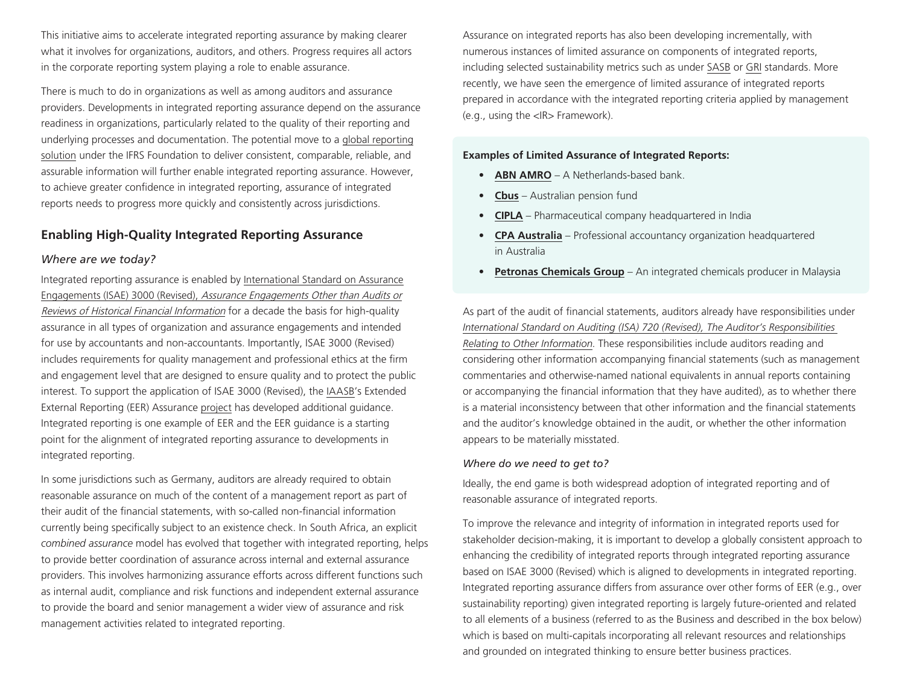This initiative aims to accelerate integrated reporting assurance by making clearer what it involves for organizations, auditors, and others. Progress requires all actors in the corporate reporting system playing a role to enable assurance.

There is much to do in organizations as well as among auditors and assurance providers. Developments in integrated reporting assurance depend on the assurance readiness in organizations, particularly related to the quality of their reporting and underlying processes and documentation. The potential move to a [global reporting](https://www.ifac.org/knowledge-gateway/contributing-global-economy/discussion/enhancing-corporate-reporting-way-forward)  [solution](https://www.ifac.org/knowledge-gateway/contributing-global-economy/discussion/enhancing-corporate-reporting-way-forward) under the IFRS Foundation to deliver consistent, comparable, reliable, and assurable information will further enable integrated reporting assurance. However, to achieve greater confidence in integrated reporting, assurance of integrated reports needs to progress more quickly and consistently across jurisdictions.

# **Enabling High-Quality Integrated Reporting Assurance**

# *Where are we today?*

Integrated reporting assurance is enabled by [International Standard on Assurance](https://www.iaasb.org/publications/international-standard-assurance-engagements-isae-3000-revised-assurance-engagements-other-audits-or-0)  Engagements (ISAE) 3000 (Revised), [Assurance Engagements Other than Audits or](https://www.iaasb.org/publications/international-standard-assurance-engagements-isae-3000-revised-assurance-engagements-other-audits-or-0)  [Reviews of Historical Financial Information](https://www.iaasb.org/publications/international-standard-assurance-engagements-isae-3000-revised-assurance-engagements-other-audits-or-0) for a decade the basis for high-quality assurance in all types of organization and assurance engagements and intended for use by accountants and non-accountants. Importantly, ISAE 3000 (Revised) includes requirements for quality management and professional ethics at the firm and engagement level that are designed to ensure quality and to protect the public interest. To support the application of ISAE 3000 (Revised), the [IAASB](https://www.iaasb.org/)'s Extended External Reporting (EER) Assurance [project](http://www.iaasb.org/consultations-projects/extended-external-reporting-eer-assurance) has developed additional guidance. Integrated reporting is one example of EER and the EER guidance is a starting point for the alignment of integrated reporting assurance to developments in integrated reporting.

In some jurisdictions such as Germany, auditors are already required to obtain reasonable assurance on much of the content of a management report as part of their audit of the financial statements, with so-called non-financial information currently being specifically subject to an existence check. In South Africa, an explicit *combined assurance* model has evolved that together with integrated reporting, helps to provide better coordination of assurance across internal and external assurance providers. This involves harmonizing assurance efforts across different functions such as internal audit, compliance and risk functions and independent external assurance to provide the board and senior management a wider view of assurance and risk management activities related to integrated reporting.

Assurance on integrated reports has also been developing incrementally, with numerous instances of limited assurance on components of integrated reports, including selected sustainability metrics such as under [SASB o](https://www.sasb.org)r [GRI](https://www.globalreporting.org) standards. More recently, we have seen the emergence of limited assurance of integrated reports prepared in accordance with the integrated reporting criteria applied by management (e.g., using the <IR> Framework).

#### **Examples of Limited Assurance of Integrated Reports:**

- **[ABN AMRO](https://www.abnamro.com/en/about-abnamro/annual-report/download-centre/index.html)** A Netherlands-based bank.
- **[Cbus](https://www.cbussuper.com.au/about-us/annual-report
)** Australian pension fund
- **[CIPLA](https://www.cipla.com/investors/annual-reports
)** Pharmaceutical company headquartered in India
- **[CPA Australia](https://www.cpaaustralia.com.au/annualreport-2019
)** Professional accountancy organization headquartered in Australia
- **[Petronas Chemicals Group](https://www.petronas.com/media/reports)** An integrated chemicals producer in Malaysia

As part of the audit of financial statements, auditors already have responsibilities under *[International Standard on Auditing \(ISA\) 720 \(Revised\), The Auditor's Responsibilities](https://www.iaasb.org/publications/international-standard-auditing-isa-720-revised-auditor-s-responsibilities-relating-other-8)  [Relating to Other Information](https://www.iaasb.org/publications/international-standard-auditing-isa-720-revised-auditor-s-responsibilities-relating-other-8)*. These responsibilities include auditors reading and considering other information accompanying financial statements (such as management commentaries and otherwise-named national equivalents in annual reports containing or accompanying the financial information that they have audited), as to whether there is a material inconsistency between that other information and the financial statements and the auditor's knowledge obtained in the audit, or whether the other information appears to be materially misstated.

#### *Where do we need to get to?*

Ideally, the end game is both widespread adoption of integrated reporting and of reasonable assurance of integrated reports.

To improve the relevance and integrity of information in integrated reports used for stakeholder decision-making, it is important to develop a globally consistent approach to enhancing the credibility of integrated reports through integrated reporting assurance based on ISAE 3000 (Revised) which is aligned to developments in integrated reporting. Integrated reporting assurance differs from assurance over other forms of EER (e.g., over sustainability reporting) given integrated reporting is largely future-oriented and related to all elements of a business (referred to as the Business and described in the box below) which is based on multi-capitals incorporating all relevant resources and relationships and grounded on integrated thinking to ensure better business practices.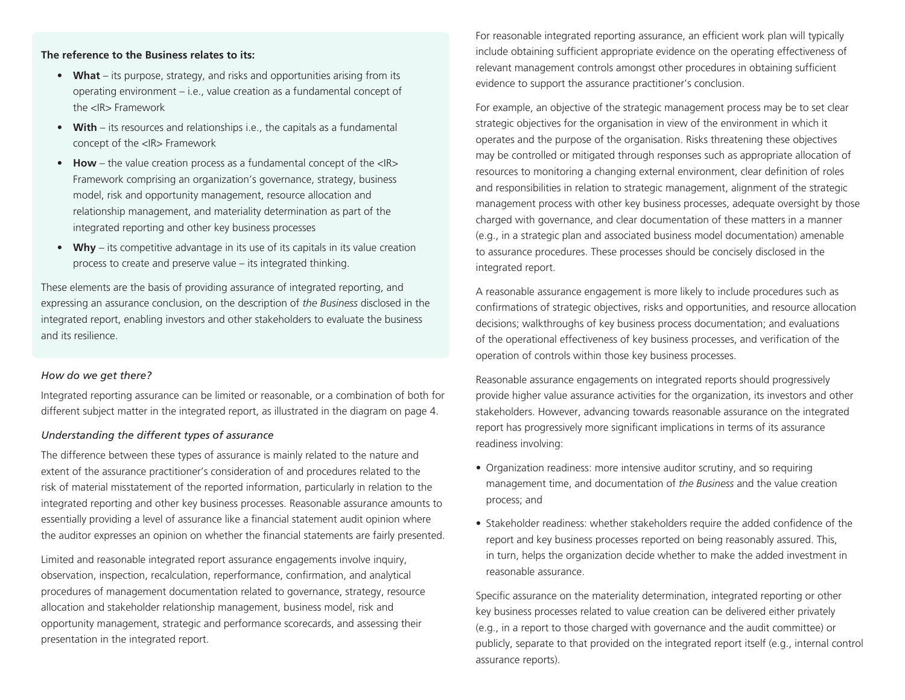# **The reference to the Business relates to its:**

- **What**  its purpose, strategy, and risks and opportunities arising from its operating environment – i.e., value creation as a fundamental concept of the <IR> Framework
- **With** its resources and relationships i.e., the capitals as a fundamental concept of the <IR> Framework
- **How** the value creation process as a fundamental concept of the <IR> Framework comprising an organization's governance, strategy, business model, risk and opportunity management, resource allocation and relationship management, and materiality determination as part of the integrated reporting and other key business processes
- **• Why** its competitive advantage in its use of its capitals in its value creation process to create and preserve value – its integrated thinking.

These elements are the basis of providing assurance of integrated reporting, and expressing an assurance conclusion, on the description of *the Business* disclosed in the integrated report, enabling investors and other stakeholders to evaluate the business and its resilience.

#### *How do we get there?*

Integrated reporting assurance can be limited or reasonable, or a combination of both for different subject matter in the integrated report, as illustrated in the diagram on page 4.

# *Understanding the different types of assurance*

The difference between these types of assurance is mainly related to the nature and extent of the assurance practitioner's consideration of and procedures related to the risk of material misstatement of the reported information, particularly in relation to the integrated reporting and other key business processes. Reasonable assurance amounts to essentially providing a level of assurance like a financial statement audit opinion where the auditor expresses an opinion on whether the financial statements are fairly presented.

Limited and reasonable integrated report assurance engagements involve inquiry, observation, inspection, recalculation, reperformance, confirmation, and analytical procedures of management documentation related to governance, strategy, resource allocation and stakeholder relationship management, business model, risk and opportunity management, strategic and performance scorecards, and assessing their presentation in the integrated report.

For reasonable integrated reporting assurance, an efficient work plan will typically include obtaining sufficient appropriate evidence on the operating effectiveness of relevant management controls amongst other procedures in obtaining sufficient evidence to support the assurance practitioner's conclusion.

For example, an objective of the strategic management process may be to set clear strategic objectives for the organisation in view of the environment in which it operates and the purpose of the organisation. Risks threatening these objectives may be controlled or mitigated through responses such as appropriate allocation of resources to monitoring a changing external environment, clear definition of roles and responsibilities in relation to strategic management, alignment of the strategic management process with other key business processes, adequate oversight by those charged with governance, and clear documentation of these matters in a manner (e.g., in a strategic plan and associated business model documentation) amenable to assurance procedures. These processes should be concisely disclosed in the integrated report.

A reasonable assurance engagement is more likely to include procedures such as confirmations of strategic objectives, risks and opportunities, and resource allocation decisions; walkthroughs of key business process documentation; and evaluations of the operational effectiveness of key business processes, and verification of the operation of controls within those key business processes.

Reasonable assurance engagements on integrated reports should progressively provide higher value assurance activities for the organization, its investors and other stakeholders. However, advancing towards reasonable assurance on the integrated report has progressively more significant implications in terms of its assurance readiness involving:

- Organization readiness: more intensive auditor scrutiny, and so requiring management time, and documentation of *the Business* and the value creation process; and
- Stakeholder readiness: whether stakeholders require the added confidence of the report and key business processes reported on being reasonably assured. This, in turn, helps the organization decide whether to make the added investment in reasonable assurance.

Specific assurance on the materiality determination, integrated reporting or other key business processes related to value creation can be delivered either privately (e.g., in a report to those charged with governance and the audit committee) or publicly, separate to that provided on the integrated report itself (e.g., internal control assurance reports).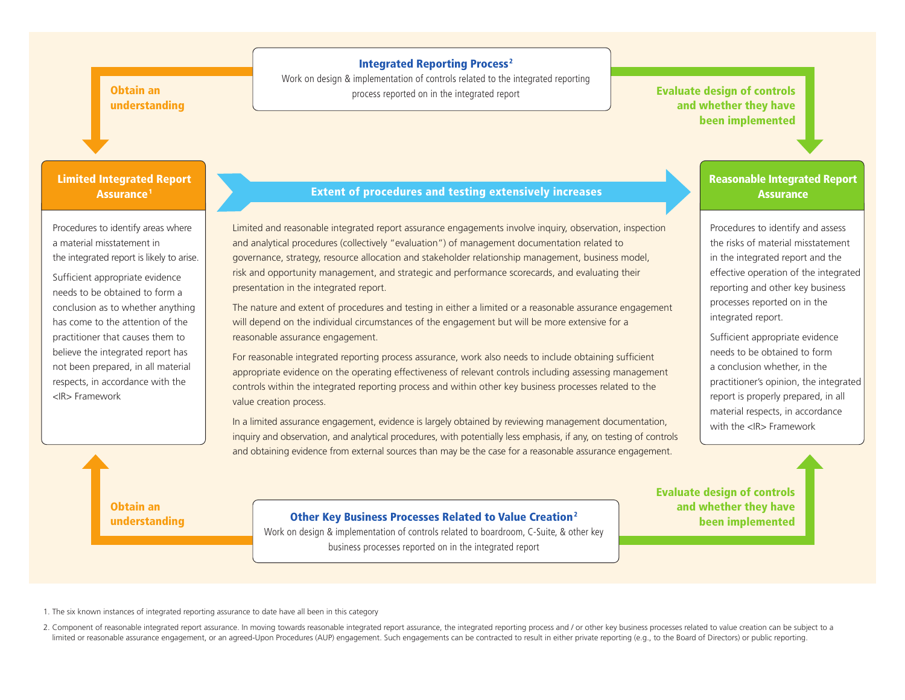# Integrated Reporting Process <sup>2</sup>

Work on design & implementation of controls related to the integrated reporting process reported on in the integrated report

Evaluate design of controls and whether they have been implemented

# Limited Integrated Report Assurance<sup>1</sup>

Obtain an understanding

Procedures to identify areas where a material misstatement in the integrated report is likely to arise.

Sufficient appropriate evidence needs to be obtained to form a conclusion as to whether anything has come to the attention of the practitioner that causes them to believe the integrated report has not been prepared, in all material respects, in accordance with the <IR> Framework

# Extent of procedures and testing extensively increases

Limited and reasonable integrated report assurance engagements involve inquiry, observation, inspection and analytical procedures (collectively "evaluation") of management documentation related to governance, strategy, resource allocation and stakeholder relationship management, business model, risk and opportunity management, and strategic and performance scorecards, and evaluating their presentation in the integrated report.

The nature and extent of procedures and testing in either a limited or a reasonable assurance engagement will depend on the individual circumstances of the engagement but will be more extensive for a reasonable assurance engagement.

For reasonable integrated reporting process assurance, work also needs to include obtaining sufficient appropriate evidence on the operating effectiveness of relevant controls including assessing management controls within the integrated reporting process and within other key business processes related to the value creation process.

In a limited assurance engagement, evidence is largely obtained by reviewing management documentation, inquiry and observation, and analytical procedures, with potentially less emphasis, if any, on testing of controls and obtaining evidence from external sources than may be the case for a reasonable assurance engagement.

Obtain an understanding

#### Other Key Business Processes Related to Value Creation<sup>2</sup>

Work on design & implementation of controls related to boardroom, C-Suite, & other key business processes reported on in the integrated report

Reasonable Integrated Report **Assurance** 

Procedures to identify and assess the risks of material misstatement in the integrated report and the effective operation of the integrated reporting and other key business processes reported on in the integrated report.

Sufficient appropriate evidence needs to be obtained to form a conclusion whether, in the practitioner's opinion, the integrated report is properly prepared, in all material respects, in accordance with the <IR> Framework

Evaluate design of controls and whether they have been implemented

1. The six known instances of integrated reporting assurance to date have all been in this category

2. Component of reasonable integrated report assurance. In moving towards reasonable integrated report assurance, the integrated reporting process and / or other key business processes related to value creation can be subj limited or reasonable assurance engagement, or an agreed-Upon Procedures (AUP) engagement. Such engagements can be contracted to result in either private reporting (e.g., to the Board of Directors) or public reporting.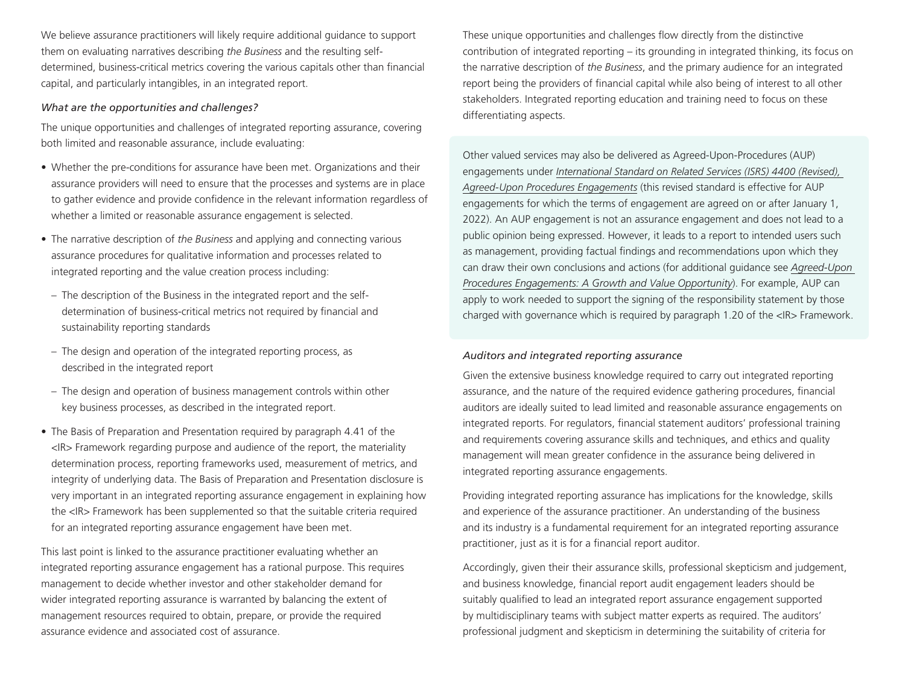We believe assurance practitioners will likely require additional guidance to support them on evaluating narratives describing *the Business* and the resulting selfdetermined, business-critical metrics covering the various capitals other than financial capital, and particularly intangibles, in an integrated report.

# *What are the opportunities and challenges?*

The unique opportunities and challenges of integrated reporting assurance, covering both limited and reasonable assurance, include evaluating:

- Whether the pre-conditions for assurance have been met. Organizations and their assurance providers will need to ensure that the processes and systems are in place to gather evidence and provide confidence in the relevant information regardless of whether a limited or reasonable assurance engagement is selected.
- The narrative description of *the Business* and applying and connecting various assurance procedures for qualitative information and processes related to integrated reporting and the value creation process including:
- The description of the Business in the integrated report and the selfdetermination of business-critical metrics not required by financial and sustainability reporting standards
- The design and operation of the integrated reporting process, as described in the integrated report
- The design and operation of business management controls within other key business processes, as described in the integrated report.
- The Basis of Preparation and Presentation required by paragraph 4.41 of the <IR> Framework regarding purpose and audience of the report, the materiality determination process, reporting frameworks used, measurement of metrics, and integrity of underlying data. The Basis of Preparation and Presentation disclosure is very important in an integrated reporting assurance engagement in explaining how the <IR> Framework has been supplemented so that the suitable criteria required for an integrated reporting assurance engagement have been met.

This last point is linked to the assurance practitioner evaluating whether an integrated reporting assurance engagement has a rational purpose. This requires management to decide whether investor and other stakeholder demand for wider integrated reporting assurance is warranted by balancing the extent of management resources required to obtain, prepare, or provide the required assurance evidence and associated cost of assurance.

These unique opportunities and challenges flow directly from the distinctive contribution of integrated reporting – its grounding in integrated thinking, its focus on the narrative description of *the Business*, and the primary audience for an integrated report being the providers of financial capital while also being of interest to all other stakeholders. Integrated reporting education and training need to focus on these differentiating aspects.

Other valued services may also be delivered as Agreed-Upon-Procedures (AUP) engagements under *[International Standard on Related Services \(ISRS\) 4400 \(Revised\),](https://www.iaasb.org/publications/international-standard-related-services-isrs-4400-revised)  [Agreed-Upon Procedures Engagements](https://www.iaasb.org/publications/international-standard-related-services-isrs-4400-revised)* (this revised standard is effective for AUP engagements for which the terms of engagement are agreed on or after January 1, 2022). An AUP engagement is not an assurance engagement and does not lead to a public opinion being expressed. However, it leads to a report to intended users such as management, providing factual findings and recommendations upon which they can draw their own conclusions and actions (for additional guidance see *[Agreed-Upon](https://www.ifac.org/knowledge-gateway/supporting-international-standards/publications/agreed-upon-procedures-engagements)  [Procedures Engagements: A Growth and Value Opportunity](https://www.ifac.org/knowledge-gateway/supporting-international-standards/publications/agreed-upon-procedures-engagements)*). For example, AUP can apply to work needed to support the signing of the responsibility statement by those charged with governance which is required by paragraph 1.20 of the <IR> Framework.

# *Auditors and integrated reporting assurance*

Given the extensive business knowledge required to carry out integrated reporting assurance, and the nature of the required evidence gathering procedures, financial auditors are ideally suited to lead limited and reasonable assurance engagements on integrated reports. For regulators, financial statement auditors' professional training and requirements covering assurance skills and techniques, and ethics and quality management will mean greater confidence in the assurance being delivered in integrated reporting assurance engagements.

Providing integrated reporting assurance has implications for the knowledge, skills and experience of the assurance practitioner. An understanding of the business and its industry is a fundamental requirement for an integrated reporting assurance practitioner, just as it is for a financial report auditor.

Accordingly, given their their assurance skills, professional skepticism and judgement, and business knowledge, financial report audit engagement leaders should be suitably qualified to lead an integrated report assurance engagement supported by multidisciplinary teams with subject matter experts as required. The auditors' professional judgment and skepticism in determining the suitability of criteria for